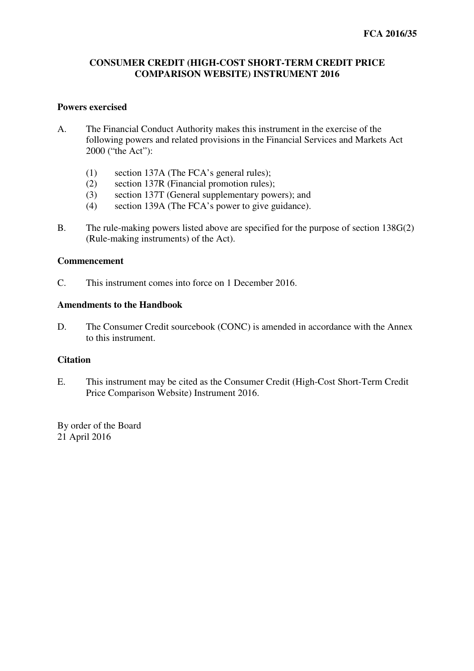# **CONSUMER CREDIT (HIGH-COST SHORT-TERM CREDIT PRICE COMPARISON WEBSITE) INSTRUMENT 2016**

## **Powers exercised**

- A. The Financial Conduct Authority makes this instrument in the exercise of the following powers and related provisions in the Financial Services and Markets Act 2000 ("the Act"):
	- (1) section 137A (The FCA's general rules);
	- (2) section 137R (Financial promotion rules);
	- (3) section 137T (General supplementary powers); and
	- (4) section 139A (The FCA's power to give guidance).
- B. The rule-making powers listed above are specified for the purpose of section 138G(2) (Rule-making instruments) of the Act).

## **Commencement**

C. This instrument comes into force on 1 December 2016.

## **Amendments to the Handbook**

D. The Consumer Credit sourcebook (CONC) is amended in accordance with the Annex to this instrument.

# **Citation**

E. This instrument may be cited as the Consumer Credit (High-Cost Short-Term Credit Price Comparison Website) Instrument 2016.

By order of the Board 21 April 2016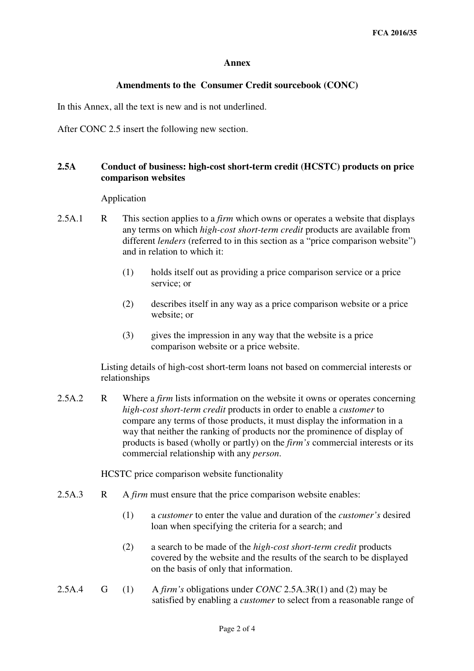### **Annex**

### **Amendments to the Consumer Credit sourcebook (CONC)**

In this Annex, all the text is new and is not underlined.

After CONC 2.5 insert the following new section.

# **2.5A Conduct of business: high-cost short-term credit (HCSTC) products on price comparison websites**

Application

- 2.5A.1 R This section applies to a *firm* which owns or operates a website that displays any terms on which *high-cost short-term credit* products are available from different *lenders* (referred to in this section as a "price comparison website") and in relation to which it:
	- (1) holds itself out as providing a price comparison service or a price service; or
	- (2) describes itself in any way as a price comparison website or a price website; or
	- (3) gives the impression in any way that the website is a price comparison website or a price website.

Listing details of high-cost short-term loans not based on commercial interests or relationships

2.5A.2 R Where a *firm* lists information on the website it owns or operates concerning *high-cost short-term credit* products in order to enable a *customer* to compare any terms of those products, it must display the information in a way that neither the ranking of products nor the prominence of display of products is based (wholly or partly) on the *firm's* commercial interests or its commercial relationship with any *person*.

HCSTC price comparison website functionality

- 2.5A.3 R A *firm* must ensure that the price comparison website enables:
	- (1) a *customer* to enter the value and duration of the *customer's* desired loan when specifying the criteria for a search; and
	- (2) a search to be made of the *high-cost short-term credit* products covered by the website and the results of the search to be displayed on the basis of only that information.
- 2.5A.4 G (1) A *firm's* obligations under *CONC* 2.5A.3R(1) and (2) may be satisfied by enabling a *customer* to select from a reasonable range of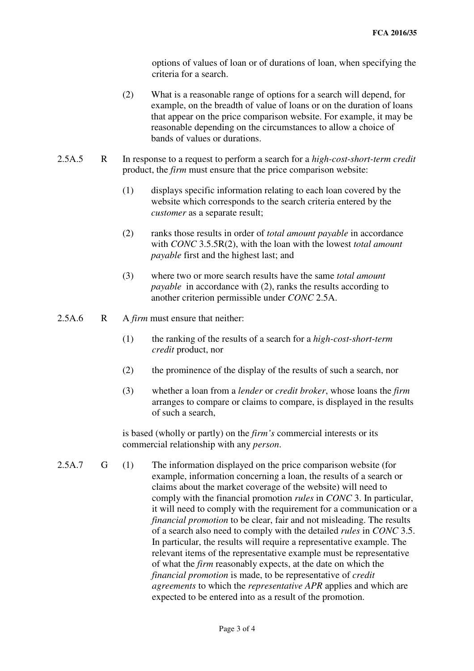options of values of loan or of durations of loan, when specifying the criteria for a search.

- (2) What is a reasonable range of options for a search will depend, for example, on the breadth of value of loans or on the duration of loans that appear on the price comparison website. For example, it may be reasonable depending on the circumstances to allow a choice of bands of values or durations.
- 2.5A.5 R In response to a request to perform a search for a *high-cost-short-term credit* product, the *firm* must ensure that the price comparison website:
	- (1) displays specific information relating to each loan covered by the website which corresponds to the search criteria entered by the *customer* as a separate result;
	- (2) ranks those results in order of *total amount payable* in accordance with *CONC* 3.5.5R(2), with the loan with the lowest *total amount payable* first and the highest last; and
	- (3) where two or more search results have the same *total amount payable* in accordance with (2), ranks the results according to another criterion permissible under *CONC* 2.5A.
- 2.5A.6 R A *firm* must ensure that neither:
	- (1) the ranking of the results of a search for a *high-cost-short-term credit* product, nor
	- (2) the prominence of the display of the results of such a search, nor
	- (3) whether a loan from a *lender* or *credit broker*, whose loans the *firm* arranges to compare or claims to compare, is displayed in the results of such a search,

 is based (wholly or partly) on the *firm's* commercial interests or its commercial relationship with any *person*.

2.5A.7 G (1) The information displayed on the price comparison website (for example, information concerning a loan, the results of a search or claims about the market coverage of the website) will need to comply with the financial promotion *rules* in *CONC* 3. In particular, it will need to comply with the requirement for a communication or a *financial promotion* to be clear, fair and not misleading. The results of a search also need to comply with the detailed *rules* in *CONC* 3.5. In particular, the results will require a representative example. The relevant items of the representative example must be representative of what the *firm* reasonably expects, at the date on which the *financial promotion* is made, to be representative of *credit agreements* to which the *representative APR* applies and which are expected to be entered into as a result of the promotion.